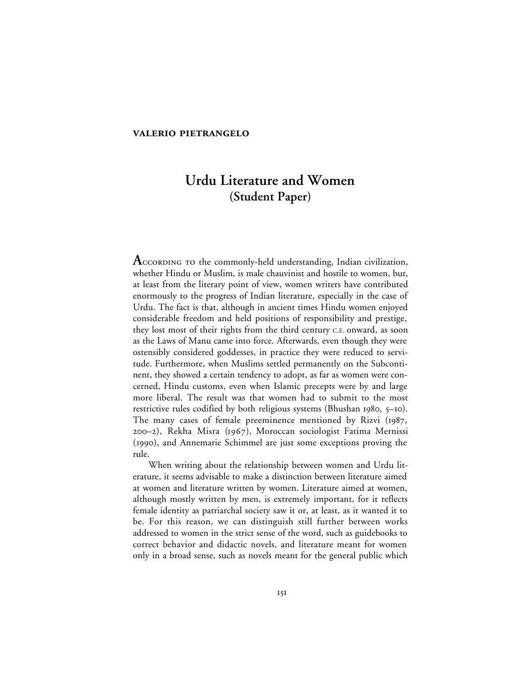## **VALERIO PIETRANGELO**

# **Urdu Literature and Women (Student Paper)**

**A** coroning to the commonly-held understanding, Indian civilization, whether Hindu or Muslim, is male chauvinist and hostile to women, but, at least from the literary point of view, women writers have contributed enormously to the progress of Indian literature, especially in the case of Urdu. The fact is that, although in ancient times Hindu women enjoyed considerable freedom and held positions of responsibility and prestige, they lost most of their rights from the third century C.E. onward, as soon as the Laws of Manu came into force. Afterwards, even though they were ostensibly considered goddesses, in practice they were reduced to servitude. Furthermore, when Muslims settled permanently on the Subcontinent, they showed a certain tendency to adopt, as far as women were concerned, Hindu customs, even when Islamic precepts were by and large more liberal. The result was that women had to submit to the most restrictive rules codified by both religious systems (Bhushan  $1980, 5-10$ ). The many cases of female preeminence mentioned by Rizvi  $(1987, 1987)$ –), Rekha Misra (), Moroccan sociologist Fatima Mernissi (1990), and Annemarie Schimmel are just some exceptions proving the rule.

When writing about the relationship between women and Urdu literature, it seems advisable to make a distinction between literature aimed at women and literature written by women. Literature aimed at women, although mostly written by men, is extremely important, for it reflects female identity as patriarchal society saw it or, at least, as it wanted it to be. For this reason, we can distinguish still further between works addressed to women in the strict sense of the word, such as guidebooks to correct behavior and didactic novels, and literature meant for women only in a broad sense, such as novels meant for the general public which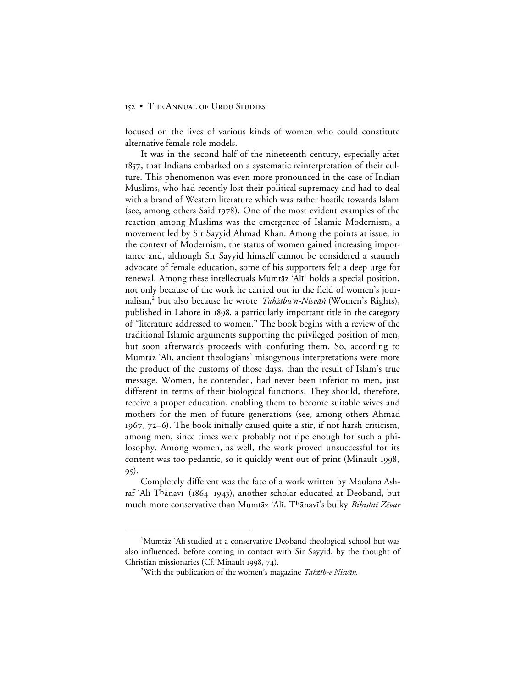focused on the lives of various kinds of women who could constitute alternative female role models.

It was in the second half of the nineteenth century, especially after , that Indians embarked on a systematic reinterpretation of their culture. This phenomenon was even more pronounced in the case of Indian Muslims, who had recently lost their political supremacy and had to deal with a brand of Western literature which was rather hostile towards Islam (see, among others Said 1978). One of the most evident examples of the reaction among Muslims was the emergence of Islamic Modernism, a movement led by Sir Sayyid Ahmad Khan. Among the points at issue, in the context of Modernism, the status of women gained increasing importance and, although Sir Sayyid himself cannot be considered a staunch advocate of female education, some of his supporters felt a deep urge for renewal. Among these intellectuals Mumtāz 'Alī<sup>1</sup> holds a special position, not only because of the work he carried out in the field of women's journalism,<sup>2</sup> but also because he wrote *Tahżību'n-Nisvāṅ* (Women's Rights), published in Lahore in 1898, a particularly important title in the category of "literature addressed to women." The book begins with a review of the traditional Islamic arguments supporting the privileged position of men, but soon afterwards proceeds with confuting them. So, according to Mumtāz 'Alī, ancient theologians' misogynous interpretations were more the product of the customs of those days, than the result of Islam's true message. Women, he contended, had never been inferior to men, just different in terms of their biological functions. They should, therefore, receive a proper education, enabling them to become suitable wives and mothers for the men of future generations (see, among others Ahmad  $1967, 72–6$ ). The book initially caused quite a stir, if not harsh criticism, among men, since times were probably not ripe enough for such a philosophy. Among women, as well, the work proved unsuccessful for its content was too pedantic, so it quickly went out of print (Minault 1998, 95).

Completely different was the fate of a work written by Maulana Ashraf 'Alī Thānavī (1864–1943), another scholar educated at Deoband, but much more conservative than Mumtāz 'Alī. Thānavī's bulky *Bihishtī Zēvar* 

 $\begin{array}{c}\n\hline\n\end{array}$ <sup>1</sup>Mumtāz 'Alī studied at a conservative Deoband theological school but was also influenced, before coming in contact with Sir Sayyid, by the thought of Christian missionaries (Cf. Minault 1998, 74).

<sup>&</sup>lt;sup>2</sup>With the publication of the women's magazine *Tahżīb-e Nisvāṅ*.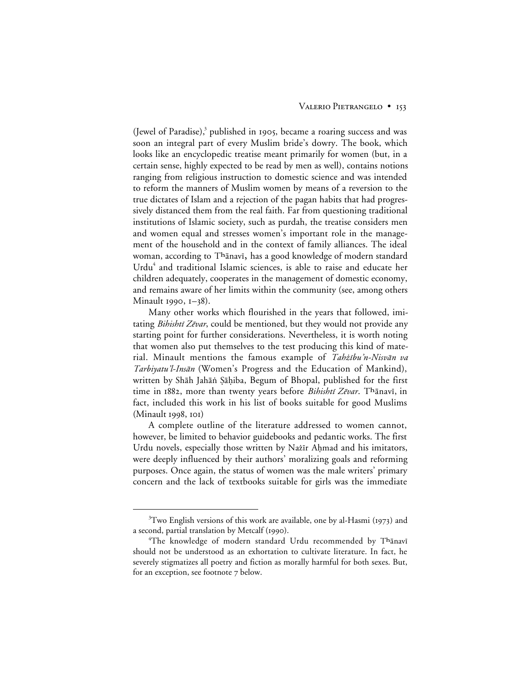(Jewel of Paradise), $\delta$  published in 1905, became a roaring success and was soon an integral part of every Muslim bride's dowry. The book, which looks like an encyclopedic treatise meant primarily for women (but, in a certain sense, highly expected to be read by men as well), contains notions ranging from religious instruction to domestic science and was intended to reform the manners of Muslim women by means of a reversion to the true dictates of Islam and a rejection of the pagan habits that had progressively distanced them from the real faith. Far from questioning traditional institutions of Islamic society, such as purdah, the treatise considers men and women equal and stresses women's important role in the management of the household and in the context of family alliances. The ideal woman, according to Thānavī, has a good knowledge of modern standard Urdu<sup>4</sup> and traditional Islamic sciences, is able to raise and educate her children adequately, cooperates in the management of domestic economy, and remains aware of her limits within the community (see, among others Minault 1990, 1-38).

Many other works which flourished in the years that followed, imitating Bihishtī Zēvar, could be mentioned, but they would not provide any starting point for further considerations. Nevertheless, it is worth noting that women also put themselves to the test producing this kind of material. Minault mentions the famous example of Tahżibu'n-Nisvān va Tarbiyatu'l-Insān (Women's Progress and the Education of Mankind), written by Shāh Jahāṅ Ṣāḥiba, Begum of Bhopal, published for the first time in 1882, more than twenty years before Bihishtī Zēvar. Thānavī, in fact, included this work in his list of books suitable for good Muslims  $(Minault 1998, 101)$ 

A complete outline of the literature addressed to women cannot, however, be limited to behavior guidebooks and pedantic works. The first Urdu novels, especially those written by Nažīr Ahmad and his imitators, were deeply influenced by their authors' moralizing goals and reforming purposes. Once again, the status of women was the male writers' primary concern and the lack of textbooks suitable for girls was the immediate

 $\frac{1}{3}$  ${}^{3}$ Two English versions of this work are available, one by al-Hasmi (1973) and a second, partial translation by Metcalf (1990).

 $\rm ^4The$  knowledge of modern standard Urdu recommended by Thānavī should not be understood as an exhortation to cultivate literature. In fact, he severely stigmatizes all poetry and fiction as morally harmful for both sexes. But, for an exception, see footnote 7 below.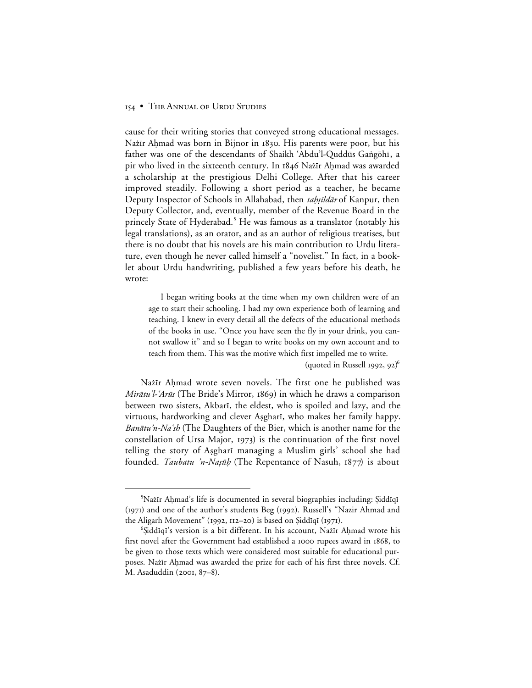cause for their writing stories that conveyed strong educational messages. Nażīr Aḥmad was born in Bijnor in 1830. His parents were poor, but his father was one of the descendants of Shaikh 'Abdu'l-Quddūs Gaṅgōhī, a pir who lived in the sixteenth century. In 1846 Nazir Ahmad was awarded a scholarship at the prestigious Delhi College. After that his career improved steadily. Following a short period as a teacher, he became Deputy Inspector of Schools in Allahabad, then tahsildar of Kanpur, then Deputy Collector, and, eventually, member of the Revenue Board in the princely State of Hyderabad.<sup>5</sup> He was famous as a translator (notably his legal translations), as an orator, and as an author of religious treatises, but there is no doubt that his novels are his main contribution to Urdu literature, even though he never called himself a "novelist." In fact, in a booklet about Urdu handwriting, published a few years before his death, he wrote:

I began writing books at the time when my own children were of an age to start their schooling. I had my own experience both of learning and teaching. I knew in every detail all the defects of the educational methods of the books in use. "Once you have seen the fly in your drink, you cannot swallow it" and so I began to write books on my own account and to teach from them. This was the motive which first impelled me to write.

(quoted in Russell 1992, 92)<sup>6</sup>

Nažīr Aḥmad wrote seven novels. The first one he published was *Mirātu'l-'Arūs* (The Bride's Mirror, 1869) in which he draws a comparison between two sisters, Akbari, the eldest, who is spoiled and lazy, and the virtuous, hardworking and clever Asghari, who makes her family happy. *Banātu'n-Na'sh* (The Daughters of the Bier, which is another name for the constellation of Ursa Major,  $1973$ ) is the continuation of the first novel telling the story of Asgharī managing a Muslim girls' school she had founded. Taubatu 'n-Naṣūḥ (The Repentance of Nasuh, 1877) is about

 $\frac{1}{5}$ <sup>></sup>Nažīr Aḥmad's life is documented in several biographies including: Şiddīqī (1971) and one of the author's students Beg (1992). Russell's "Nazir Ahmad and the Aligarh Movement" (1992, 112–20) is based on  $\tilde{\text{Siddiqi}}$  (1971).

<sup>&</sup>lt;sup>6</sup>Șiddīqī's version is a bit different. In his account, Nażīr Aḥmad wrote his first novel after the Government had established a 1000 rupees award in 1868, to be given to those texts which were considered most suitable for educational purposes. Nažīr Aḥmad was awarded the prize for each of his first three novels. Cf. M. Asaduddin (2001, 87–8).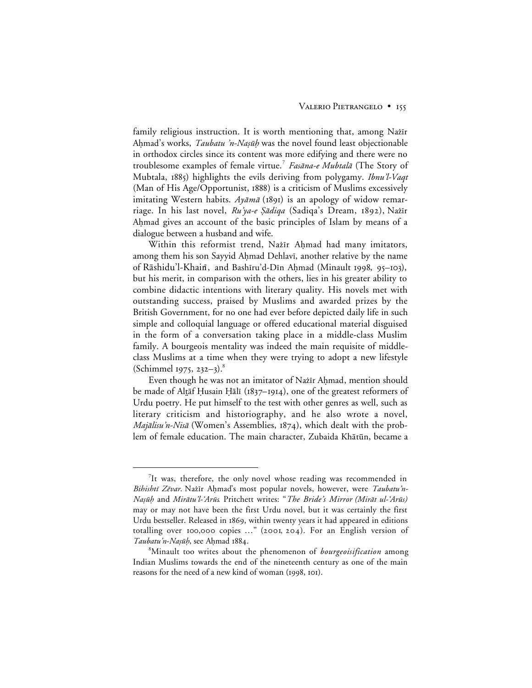family religious instruction. It is worth mentioning that, among Nazir Ahmad's works, *Taubatu 'n-Naṣūḥ* was the novel found least objectionable in orthodox circles since its content was more edifying and there were no troublesome examples of female virtue.<sup>7</sup> Fasāna-e Mubtalā (The Story of Mubtala, 1885) highlights the evils deriving from polygamy. Ibnu'l-Vaqt (Man of His Age/Opportunist, 1888) is a criticism of Muslims excessively imitating Western habits. Ayāmā (1891) is an apology of widow remarriage. In his last novel, Ru'ya-e Şādiqa (Sadiqa's Dream, 1892), Nažīr Ahmad gives an account of the basic principles of Islam by means of a dialogue between a husband and wife.

Within this reformist trend, Nažīr Ahmad had many imitators, among them his son Sayyid Ahmad Dehlavī, another relative by the name of Rāshidu'l-Khain, and Bashīru'd-Dīn Aḥmad (Minault 1998, 95–103), but his merit, in comparison with the others, lies in his greater ability to combine didactic intentions with literary quality. His novels met with outstanding success, praised by Muslims and awarded prizes by the British Government, for no one had ever before depicted daily life in such simple and colloquial language or offered educational material disguised in the form of a conversation taking place in a middle-class Muslim family. A bourgeois mentality was indeed the main requisite of middleclass Muslims at a time when they were trying to adopt a new lifestyle (Schimmel 1975, 232–3).<sup>8</sup>

Even though he was not an imitator of Nażīr Aḥmad, mention should be made of Altāf Ḥusain Ḥālī (1837–1914), one of the greatest reformers of Urdu poetry. He put himself to the test with other genres as well, such as literary criticism and historiography, and he also wrote a novel, Majālisu'n-Nisā (Women's Assemblies, 1874), which dealt with the problem of female education. The main character, Zubaida Khātūn, became a

 $\frac{1}{7}$ It was, therefore, the only novel whose reading was recommended in Bihishtī Zēvar. Nažīr Ahmad's most popular novels, however, were Taubatu'n-*Nașūḥ* and Mirātu'l-'Arūs. Pritchett writes: "The Bride's Mirror (Mirāt ul-'Arūs) may or may not have been the first Urdu novel, but it was certainly the first Urdu bestseller. Released in 1869, within twenty years it had appeared in editions totalling over 100,000 copies  $\ldots$ " (2001, 204). For an English version of Taubatu'n-Naṣūḥ, see Aḥmad 1884.

<sup>8</sup> Minault too writes about the phenomenon of *bourgeoisification* among Indian Muslims towards the end of the nineteenth century as one of the main reasons for the need of a new kind of woman (1998, 101).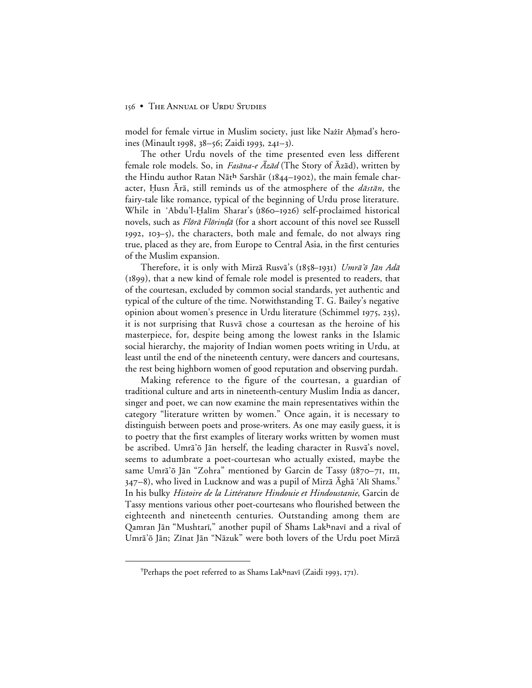model for female virtue in Muslim society, just like Nažīr Ahmad's heroines (Minault 1998,  $38-56$ ; Zaidi 1993, 241-3).

The other Urdu novels of the time presented even less different female role models. So, in *Fasāna-e Azād* (The Story of Azād), written by the Hindu author Ratan Nāth Sarshār (1844-1902), the main female character, Husn Ārā, still reminds us of the atmosphere of the *dāstān*, the fairy-tale like romance, typical of the beginning of Urdu prose literature. While in 'Abdu'l-Halīm Sharar's (1860–1926) self-proclaimed historical novels, such as *Flōrā Flōrindā* (for a short account of this novel see Russell  $1992$ ,  $103-5$ ), the characters, both male and female, do not always ring true, placed as they are, from Europe to Central Asia, in the first centuries of the Muslim expansion.

Therefore, it is only with Mirzā Rusvā's (1858–1931) Umrā'õ Jān Adā (1899), that a new kind of female role model is presented to readers, that of the courtesan, excluded by common social standards, yet authentic and typical of the culture of the time. Notwithstanding T. G. Bailey's negative opinion about women's presence in Urdu literature (Schimmel 1975, 235), it is not surprising that Rusva chose a courtesan as the heroine of his masterpiece, for, despite being among the lowest ranks in the Islamic social hierarchy, the majority of Indian women poets writing in Urdu, at least until the end of the nineteenth century, were dancers and courtesans, the rest being highborn women of good reputation and observing purdah.

Making reference to the figure of the courtesan, a guardian of traditional culture and arts in nineteenth-century Muslim India as dancer, singer and poet, we can now examine the main representatives within the category "literature written by women." Once again, it is necessary to distinguish between poets and prose-writers. As one may easily guess, it is to poetry that the first examples of literary works written by women must be ascribed. Umrā'ō Jān herself, the leading character in Rusvā's novel, seems to adumbrate a poet-courtesan who actually existed, maybe the same Umrā'ō Jān "Zohra" mentioned by Garcin de Tassy ( $1870 - 71$ , III,  $347–8$ ), who lived in Lucknow and was a pupil of Mirzā Āghā 'Alī Shams.<sup>9</sup> In his bulky *Histoire de la Littérature Hindouie et Hindoustanie*, Garcin de Tassy mentions various other poet-courtesans who flourished between the eighteenth and nineteenth centuries. Outstanding among them are Qamran Jān "Mushtarī," another pupil of Shams Lakhnavī and a rival of Umrā'ō Jān; Zīnat Jān "Nāzuk" were both lovers of the Urdu poet Mirzā

 $\frac{1}{\sqrt{9}}$ <sup>9</sup> Perhaps the poet referred to as Shams Lak<sup>h</sup>navī (Zaidi 1993, 171).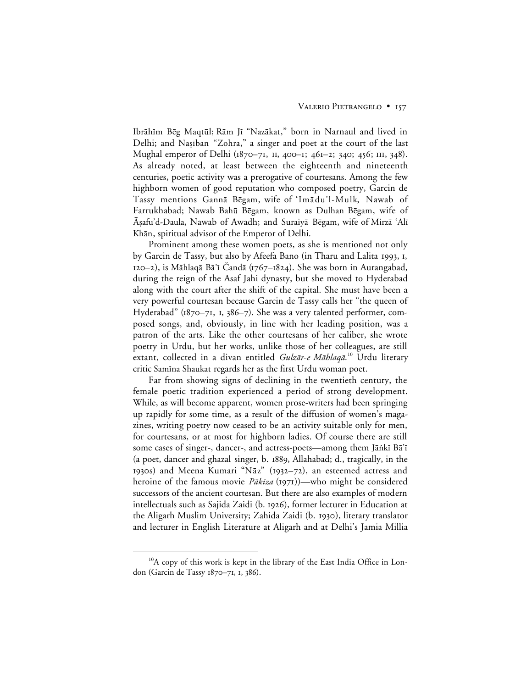Ibrāhīm Bēg Maqtūl; Rām Jī "Nazākat," born in Narnaul and lived in Delhi; and Nașīban "Zohra," a singer and poet at the court of the last Mughal emperor of Delhi ( $1870-71$ , II, 400-1; 461-2; 340; 456; III, 348). As already noted, at least between the eighteenth and nineteenth centuries, poetic activity was a prerogative of courtesans. Among the few highborn women of good reputation who composed poetry, Garcin de Tassy mentions Gannā Bēgam, wife of 'Imādu'l-Mulk, Nawab of Farrukhabad; Nawab Bahū Bēgam, known as Dulhan Bēgam, wife of Aşafu'd-Daula, Nawab of Awadh; and Suraiyā Bēgam, wife of Mirzā 'Alī Khān, spiritual advisor of the Emperor of Delhi.

Prominent among these women poets, as she is mentioned not only by Garcin de Tassy, but also by Afeefa Bano (in Tharu and Lalita 1993, 1,  $120-2$ ), is Māhlaqā Bā'ī Čandā (1767–1824). She was born in Aurangabad, during the reign of the Asaf Jahi dynasty, but she moved to Hyderabad along with the court after the shift of the capital. She must have been a very powerful courtesan because Garcin de Tassy calls her "the queen of Hyderabad" ( $1870-71$ , 1,  $386-7$ ). She was a very talented performer, composed songs, and, obviously, in line with her leading position, was a patron of the arts. Like the other courtesans of her caliber, she wrote poetry in Urdu, but her works, unlike those of her colleagues, are still extant, collected in a divan entitled *Gulzār-e Māhlaqā*.'<sup>0</sup> Urdu literary critic Samīna Shaukat regards her as the first Urdu woman poet.

Far from showing signs of declining in the twentieth century, the female poetic tradition experienced a period of strong development. While, as will become apparent, women prose-writers had been springing up rapidly for some time, as a result of the diffusion of women's magazines, writing poetry now ceased to be an activity suitable only for men, for courtesans, or at most for highborn ladies. Of course there are still some cases of singer-, dancer-, and actress-poets—among them Jāṅkī Bā'ī (a poet, dancer and ghazal singer, b. 1889, Allahabad; d., tragically, in the 1930s) and Meena Kumari "N $\bar{a}z$ " (1932–72), an esteemed actress and heroine of the famous movie Pākīza (1971))—who might be considered successors of the ancient courtesan. But there are also examples of modern intellectuals such as Sajida Zaidi (b. 1926), former lecturer in Education at the Aligarh Muslim University; Zahida Zaidi (b. 1930), literary translator and lecturer in English Literature at Aligarh and at Delhi's Jamia Millia

<sup>&</sup>lt;sup>10</sup>A copy of this work is kept in the library of the East India Office in London (Garcin de Tassy 1870-71, 1, 386).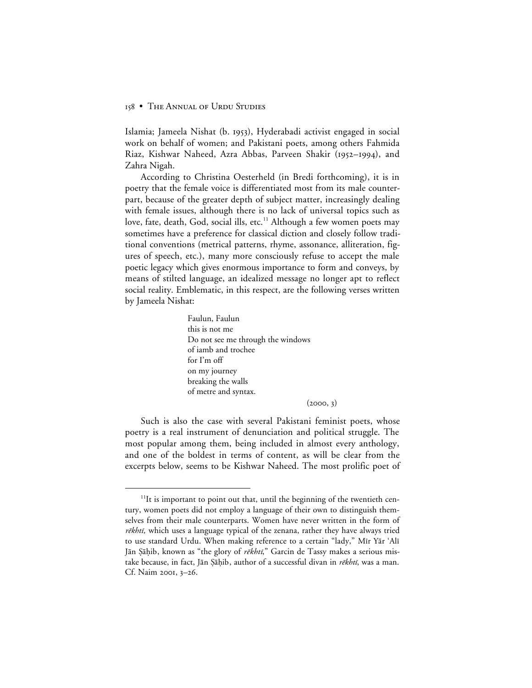Islamia; Jameela Nishat (b. 1953), Hyderabadi activist engaged in social work on behalf of women; and Pakistani poets, among others Fahmida Riaz, Kishwar Naheed, Azra Abbas, Parveen Shakir (1952–1994), and Zahra Nigah.

According to Christina Oesterheld (in Bredi forthcoming), it is in poetry that the female voice is differentiated most from its male counterpart, because of the greater depth of subject matter, increasingly dealing with female issues, although there is no lack of universal topics such as love, fate, death, God, social ills, etc.<sup>11</sup> Although a few women poets may sometimes have a preference for classical diction and closely follow traditional conventions (metrical patterns, rhyme, assonance, alliteration, figures of speech, etc.), many more consciously refuse to accept the male poetic legacy which gives enormous importance to form and conveys, by means of stilted language, an idealized message no longer apt to reflect social reality. Emblematic, in this respect, are the following verses written by Jameela Nishat:

> Faulun, Faulun this is not me Do not see me through the windows of iamb and trochee for I'm off on my journey breaking the walls of metre and syntax.

> > $(2000, 3)$

Such is also the case with several Pakistani feminist poets, whose poetry is a real instrument of denunciation and political struggle. The most popular among them, being included in almost every anthology, and one of the boldest in terms of content, as will be clear from the excerpts below, seems to be Kishwar Naheed. The most prolific poet of

 $11$ It is important to point out that, until the beginning of the twentieth century, women poets did not employ a language of their own to distinguish themselves from their male counterparts. Women have never written in the form of *rēkhtī*, which uses a language typical of the zenana, rather they have always tried to use standard Urdu. When making reference to a certain "lady," Mīr Yār 'Alī Jān Şāḥib, known as "the glory of rēkhtī," Garcin de Tassy makes a serious mistake because, in fact, Jān Şāḥib, author of a successful divan in *rēkhtī*, was a man. Cf. Naim 2001, 3-26.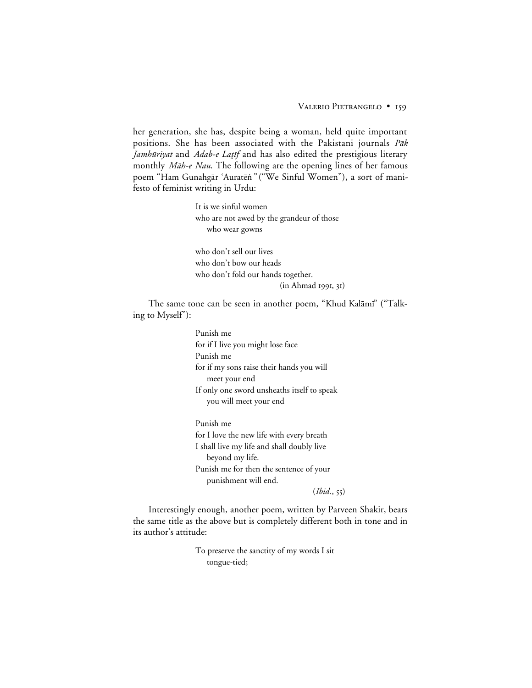her generation, she has, despite being a woman, held quite important positions. She has been associated with the Pakistani journals Pak Jamhūriyat and Adab-e Laṭif and has also edited the prestigious literary monthly Māh-e Nau. The following are the opening lines of her famous poem "Ham Gunahgār 'Auratēṅ " ("We Sinful Women"), a sort of manifesto of feminist writing in Urdu:

> It is we sinful women who are not awed by the grandeur of those who wear gowns

who don't sell our lives who don't bow our heads who don't fold our hands together. (in Ahmad 1991, 31)

The same tone can be seen in another poem, "Khud Kalāmī" ("Talking to Myself"):

> Punish me for if I live you might lose face Punish me for if my sons raise their hands you will meet your end If only one sword unsheaths itself to speak you will meet your end

Punish me for I love the new life with every breath I shall live my life and shall doubly live beyond my life. Punish me for then the sentence of your punishment will end.

 $(Ibid., 55)$ 

Interestingly enough, another poem, written by Parveen Shakir, bears the same title as the above but is completely different both in tone and in its author's attitude:

> To preserve the sanctity of my words I sit tongue-tied;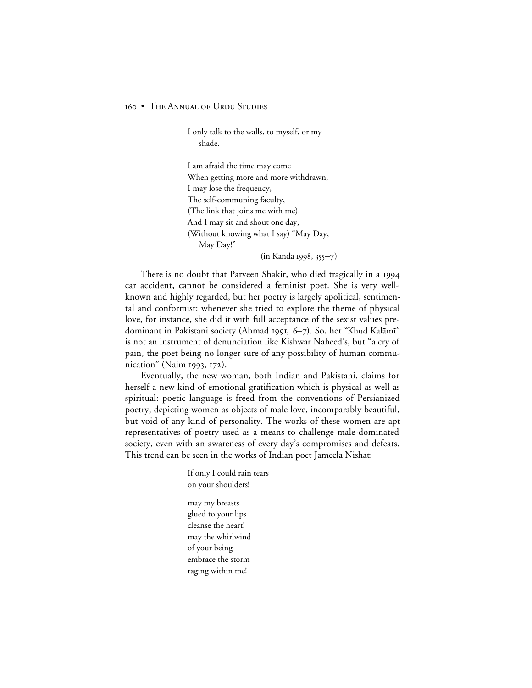I only talk to the walls, to myself, or my shade.

I am afraid the time may come When getting more and more withdrawn, I may lose the frequency, The self-communing faculty, (The link that joins me with me). And I may sit and shout one day, (Without knowing what I say) "May Day, May Day!"

 $(in Kanda 1998, 355 - 7)$ 

There is no doubt that Parveen Shakir, who died tragically in a 1994 car accident, cannot be considered a feminist poet. She is very wellknown and highly regarded, but her poetry is largely apolitical, sentimental and conformist: whenever she tried to explore the theme of physical love, for instance, she did it with full acceptance of the sexist values predominant in Pakistani society (Ahmad 1991, 6–7). So, her "Khud Kalāmī" is not an instrument of denunciation like Kishwar Naheed's, but "a cry of pain, the poet being no longer sure of any possibility of human communication" (Naim 1993, 172).

Eventually, the new woman, both Indian and Pakistani, claims for herself a new kind of emotional gratification which is physical as well as spiritual: poetic language is freed from the conventions of Persianized poetry, depicting women as objects of male love, incomparably beautiful, but void of any kind of personality. The works of these women are apt representatives of poetry used as a means to challenge male-dominated society, even with an awareness of every day's compromises and defeats. This trend can be seen in the works of Indian poet Jameela Nishat:

> If only I could rain tears on your shoulders! may my breasts glued to your lips cleanse the heart! may the whirlwind of your being embrace the storm raging within me!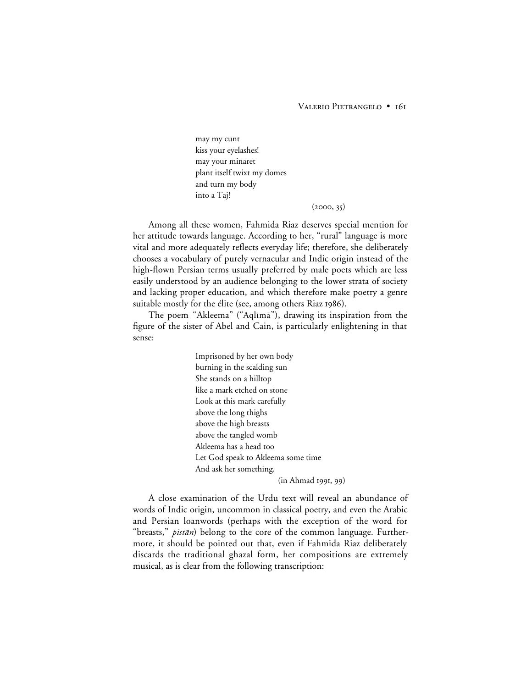# VALERIO PIETRANGELO • 161

may my cunt kiss your eyelashes! may your minaret plant itself twixt my domes and turn my body into a Taj!

#### $(2000, 35)$

Among all these women, Fahmida Riaz deserves special mention for her attitude towards language. According to her, "rural" language is more vital and more adequately reflects everyday life; therefore, she deliberately chooses a vocabulary of purely vernacular and Indic origin instead of the high-flown Persian terms usually preferred by male poets which are less easily understood by an audience belonging to the lower strata of society and lacking proper education, and which therefore make poetry a genre suitable mostly for the élite (see, among others Riaz 1986).

The poem "Akleema" ("Aqlīmā"), drawing its inspiration from the figure of the sister of Abel and Cain, is particularly enlightening in that sense:

> Imprisoned by her own body burning in the scalding sun She stands on a hilltop like a mark etched on stone Look at this mark carefully above the long thighs above the high breasts above the tangled womb Akleema has a head too Let God speak to Akleema some time And ask her something.

 $(in Ahmad 1991, 99)$ 

A close examination of the Urdu text will reveal an abundance of words of Indic origin, uncommon in classical poetry, and even the Arabic and Persian loanwords (perhaps with the exception of the word for "breasts," *pistān*) belong to the core of the common language. Furthermore, it should be pointed out that, even if Fahmida Riaz deliberately discards the traditional ghazal form, her compositions are extremely musical, as is clear from the following transcription: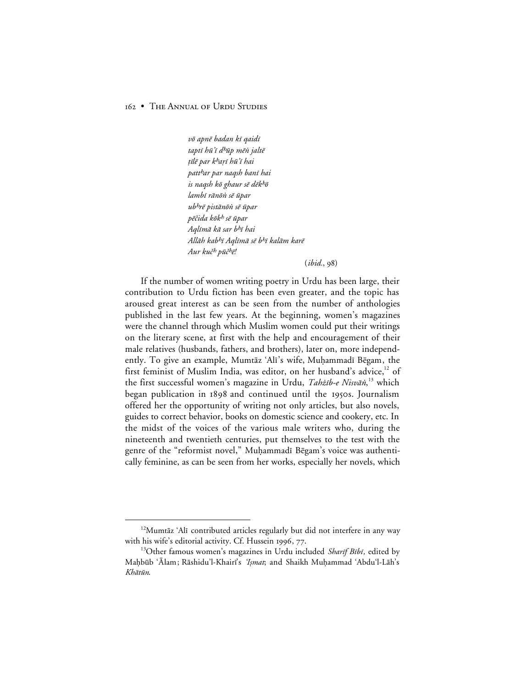vō apnē badan kī qaidī taptī hū'ī d<sup>h</sup>ūp mēṅ jaltė țīlē par k<sup>h</sup>arī hū'ī hai patt<sup>h</sup>ar par naqsh banī hai is naqsh kō ghaur sē dēkhō lambī rānōṅ sē ūpar ub<sup>h</sup>rē pistānōṅ sē ūpar pēčida kōk<sup>h</sup> sē ūpar Aglīmā kā sar bhī hai Allāh kab<sup>h</sup>ī Aqlīmā sē b<sup>h</sup>ī kalām karē Aur kuč<sup>h</sup> pūč<sup>h</sup>ē!

 $(ibid., 98)$ 

If the number of women writing poetry in Urdu has been large, their contribution to Urdu fiction has been even greater, and the topic has aroused great interest as can be seen from the number of anthologies published in the last few years. At the beginning, women's magazines were the channel through which Muslim women could put their writings on the literary scene, at first with the help and encouragement of their male relatives (husbands, fathers, and brothers), later on, more independently. To give an example, Mumtāz 'Alī's wife, Muhammadī Bēgam, the first feminist of Muslim India, was editor, on her husband's advice,<sup>12</sup> of the first successful women's magazine in Urdu, *Tahżib-e Nisvāṅ*,<sup>13</sup> which began publication in 1898 and continued until the 1950s. Journalism offered her the opportunity of writing not only articles, but also novels, guides to correct behavior, books on domestic science and cookery, etc. In the midst of the voices of the various male writers who, during the nineteenth and twentieth centuries, put themselves to the test with the genre of the "reformist novel," Muḥammadī Bēgam's voice was authentically feminine, as can be seen from her works, especially her novels, which

<sup>&</sup>lt;sup>12</sup>Mumtāz 'Alī contributed articles regularly but did not interfere in any way with his wife's editorial activity. Cf. Hussein 1996, 77.

<sup>&</sup>lt;sup>13</sup>Other famous women's magazines in Urdu included Sharif Bibi, edited by Maḥbūb 'Alam; Rāshidu'l-Khairi's 'Ismat; and Shaikh Muḥammad 'Abdu'l-Lāh's Khātūn.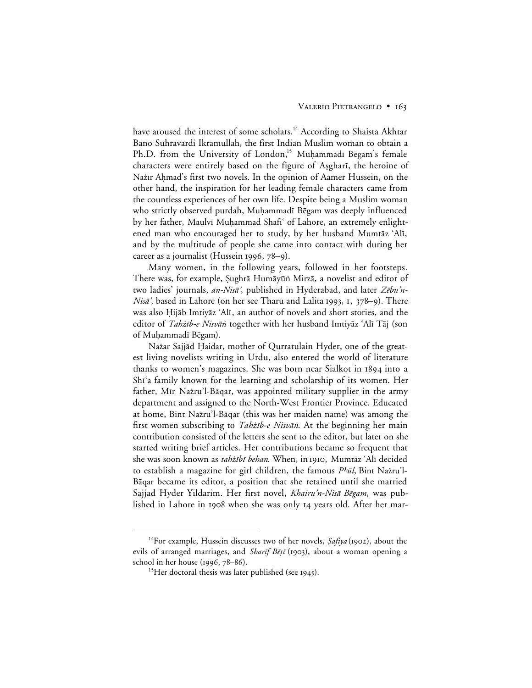have aroused the interest of some scholars.<sup>14</sup> According to Shaista Akhtar Bano Suhravardi Ikramullah, the first Indian Muslim woman to obtain a Ph.D. from the University of London,<sup>15</sup> Muhammadī Bēgam's female characters were entirely based on the figure of Asghari, the heroine of Nažīr Aḥmad's first two novels. In the opinion of Aamer Hussein, on the other hand, the inspiration for her leading female characters came from the countless experiences of her own life. Despite being a Muslim woman who strictly observed purdah, Muḥammadī Bēgam was deeply influenced by her father, Maulvī Muḥammad Shafī' of Lahore, an extremely enlightened man who encouraged her to study, by her husband Mumtāz 'Alī, and by the multitude of people she came into contact with during her career as a journalist (Hussein 1996,  $78-9$ ).

Many women, in the following years, followed in her footsteps. There was, for example, Șughrā Humāyūṅ Mirzā, a novelist and editor of two ladies' journals, an-Nisā', published in Hyderabad, and later Zēbu'n-Nisā', based in Lahore (on her see Tharu and Lalita 1993, 1, 378–9). There was also Hijāb Imtiyāz 'Alī, an author of novels and short stories, and the editor of *Tahżīb-e Nisvān* together with her husband Imtiyāz 'Alī Tāj (son of Muhammadī Bēgam).

Nażar Sajjād Ḥaidar, mother of Qurratulain Hyder, one of the greatest living novelists writing in Urdu, also entered the world of literature thanks to women's magazines. She was born near Sialkot in 1894 into a Shi'a family known for the learning and scholarship of its women. Her father, Mīr Nažru'l-Bāqar, was appointed military supplier in the army department and assigned to the North-West Frontier Province. Educated at home, Bint Nażru'l-Bāqar (this was her maiden name) was among the first women subscribing to *Tahżīb-e Nisvān*. At the beginning her main contribution consisted of the letters she sent to the editor, but later on she started writing brief articles. Her contributions became so frequent that she was soon known as tahżībī behan. When, in 1910, Mumtāz 'Alī decided to establish a magazine for girl children, the famous  $P<sup>b</sup>\bar{u}$ , Bint Nażru'l-Bāqar became its editor, a position that she retained until she married Sajjad Hyder Yildarim. Her first novel, Khairu'n-Nisā Bēgam, was published in Lahore in 1908 when she was only 14 years old. After her mar-

<sup>&</sup>lt;sup>14</sup>For example, Hussein discusses two of her novels,  $\textit{Saffya}$  (1902), about the evils of arranged marriages, and *Sharif Bēṭī* (1903), about a woman opening a school in her house  $(1996, 78-86)$ .

<sup>&</sup>lt;sup>15</sup>Her doctoral thesis was later published (see 1945).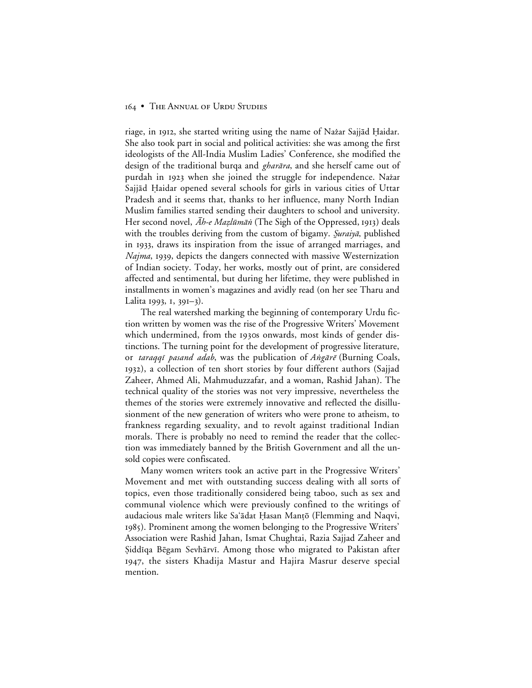riage, in 1912, she started writing using the name of Nažar Sajjād Ḥaidar. She also took part in social and political activities: she was among the first ideologists of the All-India Muslim Ladies' Conference, she modified the design of the traditional burqa and *gharāra*, and she herself came out of purdah in 1923 when she joined the struggle for independence. Nažar Sajjād Haidar opened several schools for girls in various cities of Uttar Pradesh and it seems that, thanks to her influence, many North Indian Muslim families started sending their daughters to school and university. Her second novel, *Āh-e Mazlūmān* (The Sigh of the Oppressed, 1913) deals with the troubles deriving from the custom of bigamy. Suraiyā, published in 1933, draws its inspiration from the issue of arranged marriages, and *Najma*, 1939, depicts the dangers connected with massive Westernization of Indian society. Today, her works, mostly out of print, are considered affected and sentimental, but during her lifetime, they were published in installments in women's magazines and avidly read (on her see Tharu and Lalita 1993, 1, 391–3).

The real watershed marking the beginning of contemporary Urdu fiction written by women was the rise of the Progressive Writers' Movement which undermined, from the 1930s onwards, most kinds of gender distinctions. The turning point for the development of progressive literature, or taraqqi pasand adab, was the publication of Angārē (Burning Coals, ), a collection of ten short stories by four different authors (Sajjad Zaheer, Ahmed Ali, Mahmuduzzafar, and a woman, Rashid Jahan). The technical quality of the stories was not very impressive, nevertheless the themes of the stories were extremely innovative and reflected the disillusionment of the new generation of writers who were prone to atheism, to frankness regarding sexuality, and to revolt against traditional Indian morals. There is probably no need to remind the reader that the collection was immediately banned by the British Government and all the unsold copies were confiscated.

Many women writers took an active part in the Progressive Writers' Movement and met with outstanding success dealing with all sorts of topics, even those traditionally considered being taboo, such as sex and communal violence which were previously confined to the writings of audacious male writers like Sa'ādat Ḥasan Manṭō (Flemming and Naqvi, ). Prominent among the women belonging to the Progressive Writers' Association were Rashid Jahan, Ismat Chughtai, Razia Sajjad Zaheer and ¿iddµqa B®gam Sevh≥rvµ. Among those who migrated to Pakistan after 1947, the sisters Khadija Mastur and Hajira Masrur deserve special mention.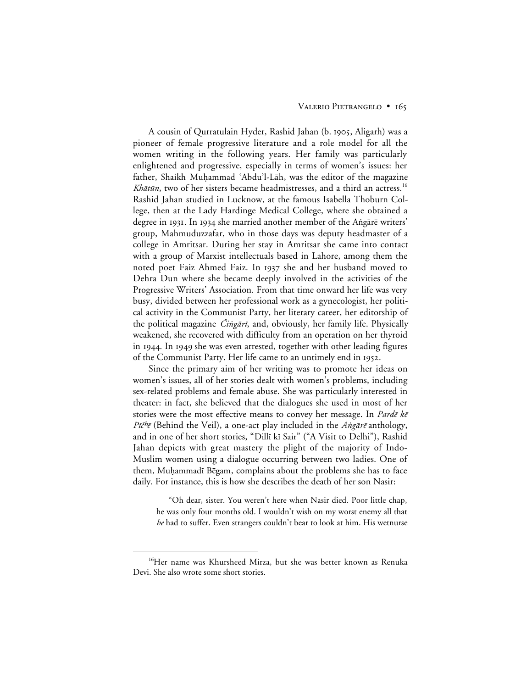# VALERIO PIETRANGELO · 165

A cousin of Qurratulain Hyder, Rashid Jahan (b. 1905, Aligarh) was a pioneer of female progressive literature and a role model for all the women writing in the following years. Her family was particularly enlightened and progressive, especially in terms of women's issues: her father, Shaikh Muḥammad 'Abdu'l-Lāh, was the editor of the magazine Khātūn, two of her sisters became headmistresses, and a third an actress.<sup>16</sup> Rashid Jahan studied in Lucknow, at the famous Isabella Thoburn College, then at the Lady Hardinge Medical College, where she obtained a degree in 1931. In 1934 she married another member of the Angārē writers' group, Mahmuduzzafar, who in those days was deputy headmaster of a college in Amritsar. During her stay in Amritsar she came into contact with a group of Marxist intellectuals based in Lahore, among them the noted poet Faiz Ahmed Faiz. In 1937 she and her husband moved to Dehra Dun where she became deeply involved in the activities of the Progressive Writers' Association. From that time onward her life was very busy, divided between her professional work as a gynecologist, her political activity in the Communist Party, her literary career, her editorship of the political magazine *Čiṅgārī*, and, obviously, her family life. Physically weakened, she recovered with difficulty from an operation on her thyroid in 1944. In 1949 she was even arrested, together with other leading figures of the Communist Party. Her life came to an untimely end in 1952.

Since the primary aim of her writing was to promote her ideas on women's issues, all of her stories dealt with women's problems, including sex-related problems and female abuse. She was particularly interested in theater: in fact, she believed that the dialogues she used in most of her stories were the most effective means to convey her message. In *Pardē kē* Pičhē (Behind the Veil), a one-act play included in the Angārē anthology, and in one of her short stories, "Dillī kī Sair" ("A Visit to Delhi"), Rashid Jahan depicts with great mastery the plight of the majority of Indo-Muslim women using a dialogue occurring between two ladies. One of them, Muḥammadī Bēgam, complains about the problems she has to face daily. For instance, this is how she describes the death of her son Nasir:

"Oh dear, sister. You weren't here when Nasir died. Poor little chap, he was only four months old. I wouldn't wish on my worst enemy all that *he* had to suffer. Even strangers couldn't bear to look at him. His wetnurse

<sup>&</sup>lt;sup>16</sup>Her name was Khursheed Mirza, but she was better known as Renuka Devi. She also wrote some short stories.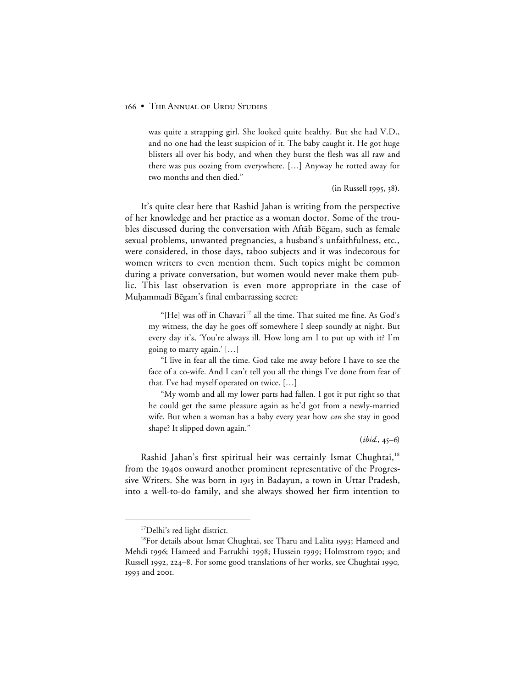was quite a strapping girl. She looked quite healthy. But she had V.D., and no one had the least suspicion of it. The baby caught it. He got huge blisters all over his body, and when they burst the flesh was all raw and there was pus oozing from everywhere. […] Anyway he rotted away for two months and then died."

(in Russell 1995, 38).

It's quite clear here that Rashid Jahan is writing from the perspective of her knowledge and her practice as a woman doctor. Some of the troubles discussed during the conversation with Aftab Bēgam, such as female sexual problems, unwanted pregnancies, a husband's unfaithfulness, etc., were considered, in those days, taboo subjects and it was indecorous for women writers to even mention them. Such topics might be common during a private conversation, but women would never make them public. This last observation is even more appropriate in the case of Muḥammadī Bēgam's final embarrassing secret:

"[He] was off in Chavari<sup>17</sup> all the time. That suited me fine. As God's my witness, the day he goes off somewhere I sleep soundly at night. But every day it's, 'You're always ill. How long am I to put up with it? I'm going to marry again.' […]

"I live in fear all the time. God take me away before I have to see the face of a co-wife. And I can't tell you all the things I've done from fear of that. I've had myself operated on twice. […]

"My womb and all my lower parts had fallen. I got it put right so that he could get the same pleasure again as he'd got from a newly-married wife. But when a woman has a baby every year how *can* she stay in good shape? It slipped down again."

 $(ibid., 45-6)$ 

Rashid Jahan's first spiritual heir was certainly Ismat Chughtai,<sup>18</sup> from the 1940s onward another prominent representative of the Progressive Writers. She was born in 1915 in Badayun, a town in Uttar Pradesh, into a well-to-do family, and she always showed her firm intention to

 <sup>17</sup>Delhi's red light district.

<sup>&</sup>lt;sup>18</sup>For details about Ismat Chughtai, see Tharu and Lalita 1993; Hameed and Mehdi 1996; Hameed and Farrukhi 1998; Hussein 1999; Holmstrom 1990; and Russell 1992, 224–8. For some good translations of her works, see Chughtai 1990, 1993 and 2001.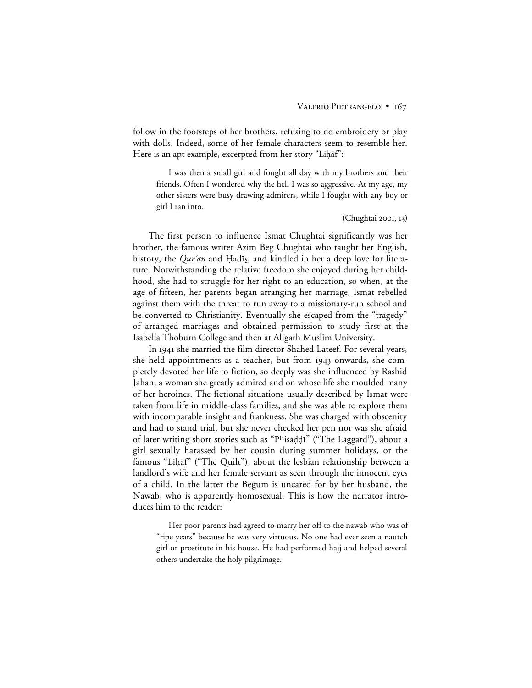follow in the footsteps of her brothers, refusing to do embroidery or play with dolls. Indeed, some of her female characters seem to resemble her. Here is an apt example, excerpted from her story "Lihāf":

I was then a small girl and fought all day with my brothers and their friends. Often I wondered why the hell I was so aggressive. At my age, my other sisters were busy drawing admirers, while I fought with any boy or girl I ran into.

 $(Chughtai 200I, I3)$ 

The first person to influence Ismat Chughtai significantly was her brother, the famous writer Azim Beg Chughtai who taught her English, history, the *Qur'an* and Hadis, and kindled in her a deep love for literature. Notwithstanding the relative freedom she enjoyed during her childhood, she had to struggle for her right to an education, so when, at the age of fifteen, her parents began arranging her marriage, Ismat rebelled against them with the threat to run away to a missionary-run school and be converted to Christianity. Eventually she escaped from the "tragedy" of arranged marriages and obtained permission to study first at the Isabella Thoburn College and then at Aligarh Muslim University.

In 1941 she married the film director Shahed Lateef. For several years, she held appointments as a teacher, but from 1943 onwards, she completely devoted her life to fiction, so deeply was she influenced by Rashid Jahan, a woman she greatly admired and on whose life she moulded many of her heroines. The fictional situations usually described by Ismat were taken from life in middle-class families, and she was able to explore them with incomparable insight and frankness. She was charged with obscenity and had to stand trial, but she never checked her pen nor was she afraid of later writing short stories such as "Phisaddi" ("The Laggard"), about a girl sexually harassed by her cousin during summer holidays, or the famous "Liḥāf" ("The Quilt"), about the lesbian relationship between a landlord's wife and her female servant as seen through the innocent eyes of a child. In the latter the Begum is uncared for by her husband, the Nawab, who is apparently homosexual. This is how the narrator introduces him to the reader:

Her poor parents had agreed to marry her off to the nawab who was of "ripe years" because he was very virtuous. No one had ever seen a nautch girl or prostitute in his house. He had performed hajj and helped several others undertake the holy pilgrimage.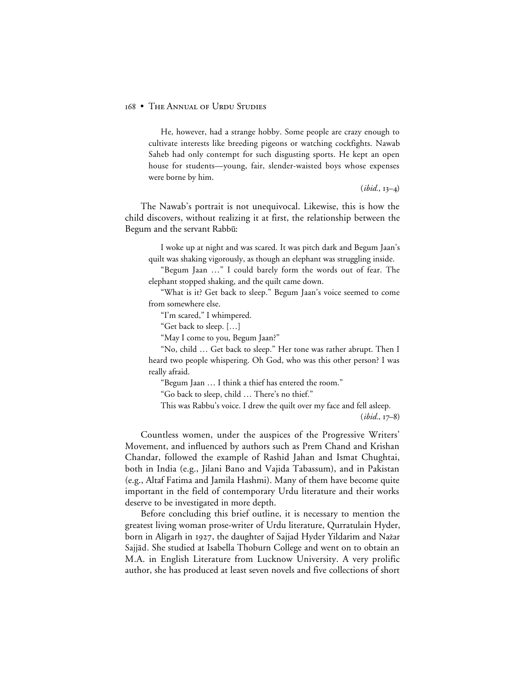He, however, had a strange hobby. Some people are crazy enough to cultivate interests like breeding pigeons or watching cockfights. Nawab Saheb had only contempt for such disgusting sports. He kept an open house for students—young, fair, slender-waisted boys whose expenses were borne by him.

 $(ibid., 13-4)$ 

The Nawab's portrait is not unequivocal. Likewise, this is how the child discovers, without realizing it at first, the relationship between the Begum and the servant Rabbū:

I woke up at night and was scared. It was pitch dark and Begum Jaan's quilt was shaking vigorously, as though an elephant was struggling inside.

"Begum Jaan …" I could barely form the words out of fear. The elephant stopped shaking, and the quilt came down.

"What is it? Get back to sleep." Begum Jaan's voice seemed to come from somewhere else.

"I'm scared," I whimpered.

"Get back to sleep. […]

"May I come to you, Begum Jaan?"

"No, child … Get back to sleep." Her tone was rather abrupt. Then I heard two people whispering. Oh God, who was this other person? I was really afraid.

"Begum Jaan … I think a thief has entered the room."

"Go back to sleep, child … There's no thief."

This was Rabbu's voice. I drew the quilt over my face and fell asleep.

 $(ibid., 17-8)$ 

Countless women, under the auspices of the Progressive Writers' Movement, and influenced by authors such as Prem Chand and Krishan Chandar, followed the example of Rashid Jahan and Ismat Chughtai, both in India (e.g., Jilani Bano and Vajida Tabassum), and in Pakistan (e.g., Altaf Fatima and Jamila Hashmi). Many of them have become quite important in the field of contemporary Urdu literature and their works deserve to be investigated in more depth.

Before concluding this brief outline, it is necessary to mention the greatest living woman prose-writer of Urdu literature, Qurratulain Hyder, born in Aligarh in 1927, the daughter of Sajjad Hyder Yildarim and Nażar Sajjād. She studied at Isabella Thoburn College and went on to obtain an M.A. in English Literature from Lucknow University. A very prolific author, she has produced at least seven novels and five collections of short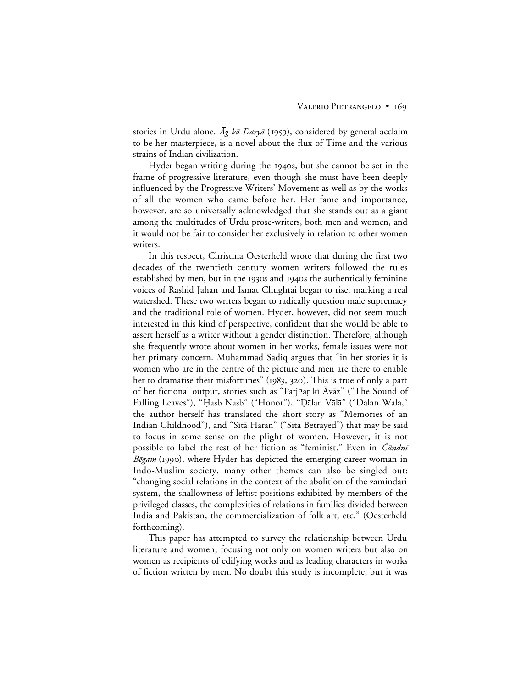stories in Urdu alone.  $\bar{Ag}$  kā Daryā (1959), considered by general acclaim to be her masterpiece, is a novel about the flux of Time and the various strains of Indian civilization.

Hyder began writing during the 1940s, but she cannot be set in the frame of progressive literature, even though she must have been deeply influenced by the Progressive Writers' Movement as well as by the works of all the women who came before her. Her fame and importance, however, are so universally acknowledged that she stands out as a giant among the multitudes of Urdu prose-writers, both men and women, and it would not be fair to consider her exclusively in relation to other women writers.

In this respect, Christina Oesterheld wrote that during the first two decades of the twentieth century women writers followed the rules established by men, but in the 1930s and 1940s the authentically feminine voices of Rashid Jahan and Ismat Chughtai began to rise, marking a real watershed. These two writers began to radically question male supremacy and the traditional role of women. Hyder, however, did not seem much interested in this kind of perspective, confident that she would be able to assert herself as a writer without a gender distinction. Therefore, although she frequently wrote about women in her works, female issues were not her primary concern. Muhammad Sadiq argues that "in her stories it is women who are in the centre of the picture and men are there to enable her to dramatise their misfortunes" (1983, 320). This is true of only a part of her fictional output, stories such as "Patjhar kī Āvāz" ("The Sound of Falling Leaves"), "Hasb Nasb" ("Honor"), "Dālan Vālā" ("Dalan Wala," the author herself has translated the short story as "Memories of an Indian Childhood"), and "Sītā Haran" ("Sita Betrayed") that may be said to focus in some sense on the plight of women. However, it is not possible to label the rest of her fiction as "feminist." Even in *Čāndnī*  $B\bar{e}$ gam (1990), where Hyder has depicted the emerging career woman in Indo-Muslim society, many other themes can also be singled out: "changing social relations in the context of the abolition of the zamindari system, the shallowness of leftist positions exhibited by members of the privileged classes, the complexities of relations in families divided between India and Pakistan, the commercialization of folk art, etc." (Oesterheld forthcoming).

This paper has attempted to survey the relationship between Urdu literature and women, focusing not only on women writers but also on women as recipients of edifying works and as leading characters in works of fiction written by men. No doubt this study is incomplete, but it was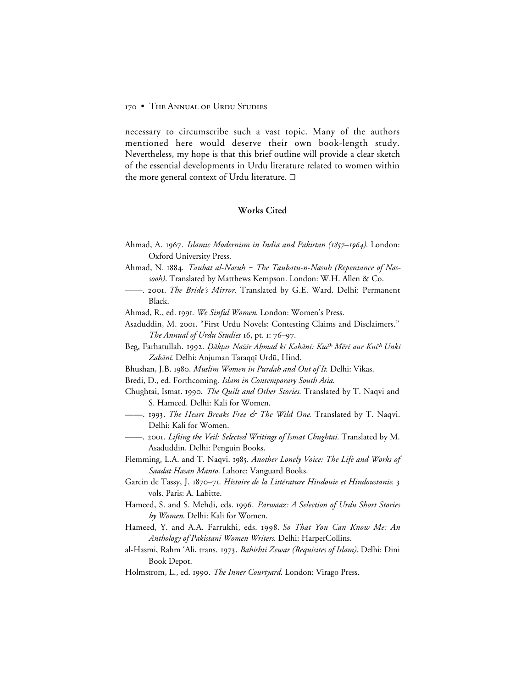necessary to circumscribe such a vast topic. Many of the authors mentioned here would deserve their own book-length study. Nevertheless, my hope is that this brief outline will provide a clear sketch of the essential developments in Urdu literature related to women within the more general context of Urdu literature.  $\Box$ 

# **Works Cited**

- Ahmad, A. . *Islamic Modernism in India and Pakistan (–)*. London: Oxford University Press.
- Ahmad, N. . *Taubat al-Nasuh = The Taubatu-n-Nasuh (Repentance of Nassooh)*. Translated by Matthews Kempson. London: W.H. Allen & Co.
- ——. . *The Bride's Mirror*. Translated by G.E. Ward. Delhi: Permanent Black.
- Ahmad, R., ed. . *We Sinful Women*. London: Women's Press.
- Asaduddin, M. 2001. "First Urdu Novels: Contesting Claims and Disclaimers." *The Annual of Urdu Studies* 16, pt. 1: 76–97.
- Beg, Farhatullah. 1992. Dāktar Nažīr Ahmad kī Kahānī: Kuč<sup>h</sup> Mērī aur Kuč<sup>h</sup> Unkī Zabānī. Delhi: Anjuman Taraqqī Urdū, Hind.
- Bhushan, J.B. . *Muslim Women in Purdah and Out of It*. Delhi: Vikas.
- Bredi, D., ed. Forthcoming. *Islam in Contemporary South Asia*.
- Chughtai, Ismat. 1990. *The Quilt and Other Stories*. Translated by T. Naqvi and S. Hameed. Delhi: Kali for Women.
- ——. . *The Heart Breaks Free & The Wild One*. Translated by T. Naqvi. Delhi: Kali for Women.
- ——. . *Lifting the Veil: Selected Writings of Ismat Chughtai*. Translated by M. Asaduddin. Delhi: Penguin Books.
- Flemming, L.A. and T. Naqvi. 1985. Another Lonely Voice: The Life and Works of *Saadat Hasan Manto*. Lahore: Vanguard Books.
- Garcin de Tassy, J. 1870-71. Histoire de la Littérature Hindouie et Hindoustanie. 3 vols. Paris: A. Labitte.
- Hameed, S. and S. Mehdi, eds. . *Parwaaz: A Selection of Urdu Short Stories by Women*. Delhi: Kali for Women.
- Hameed, Y. and A.A. Farrukhi, eds. 1998. So That You Can Know Me: An *Anthology of Pakistani Women Writers*. Delhi: HarperCollins.
- al-Hasmi, Rahm 'Ali, trans. 1973. Bahishti Zewar (Requisites of Islam). Delhi: Dini Book Depot.
- Holmstrom, L., ed. . *The Inner Courtyard*. London: Virago Press.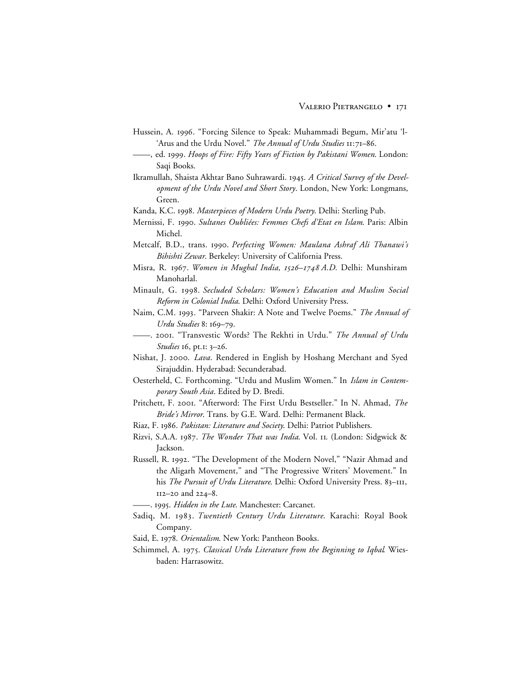- Hussein, A. 1996. "Forcing Silence to Speak: Muhammadi Begum, Mir'atu 'l-'Arus and the Urdu Novel." *The Annual of Urdu Studies* 11:71-86.
- ——, ed. . *Hoops of Fire: Fifty Years of Fiction by Pakistani Women*. London: Saqi Books.
- Ikramullah, Shaista Akhtar Bano Suhrawardi. 1945. A Critical Survey of the Devel*opment of the Urdu Novel and Short Story*. London, New York: Longmans, Green.

Kanda, K.C. . *Masterpieces of Modern Urdu Poetry*. Delhi: Sterling Pub.

- Mernissi, F. . *Sultanes Oubliées: Femmes Chefs d'Etat en Islam*. Paris: Albin Michel.
- Metcalf, B.D., trans. 1990. Perfecting Women: Maulana Ashraf Ali Thanawi's *Bihishti Zewar*. Berkeley: University of California Press.
- Misra, R. 1967. Women in Mughal India, 1526-1748 A.D. Delhi: Munshiram Manoharlal.
- Minault, G. . *Secluded Scholars: Women's Education and Muslim Social Reform in Colonial India*. Delhi: Oxford University Press.
- Naim, C.M. 1993. "Parveen Shakir: A Note and Twelve Poems." *The Annual of* Urdu Studies 8: 169-79.
- ——. . "Transvestic Words? The Rekhti in Urdu." *The Annual of Urdu Studies* 16, pt.1: 3-26.
- Nishat, J. 2000. Lava. Rendered in English by Hoshang Merchant and Syed Sirajuddin. Hyderabad: Secunderabad.
- Oesterheld, C. Forthcoming. "Urdu and Muslim Women." In *Islam in Contemporary South Asia*. Edited by D. Bredi.
- Pritchett, F. 2001. "Afterword: The First Urdu Bestseller." In N. Ahmad, *The Bride's Mirror*. Trans. by G.E. Ward. Delhi: Permanent Black.
- Riaz, F. . *Pakistan: Literature and Society*. Delhi: Patriot Publishers.
- Rizvi, S.A.A. 1987. The Wonder That was India. Vol. 11. (London: Sidgwick & Jackson.
- Russell, R. 1992. "The Development of the Modern Novel," "Nazir Ahmad and the Aligarh Movement," and "The Progressive Writers' Movement." In his *The Pursuit of Urdu Literature*. Delhi: Oxford University Press. 83-III,  $112 - 20$  and  $224 - 8$ .
	- ——. . *Hidden in the Lute*. Manchester: Carcanet.
- Sadiq, M. 1983. Twentieth Century Urdu Literature. Karachi: Royal Book Company.
- Said, E. 1978. Orientalism. New York: Pantheon Books.
- Schimmel, A. 1975. Classical Urdu Literature from the Beginning to Iqbal. Wiesbaden: Harrasowitz.